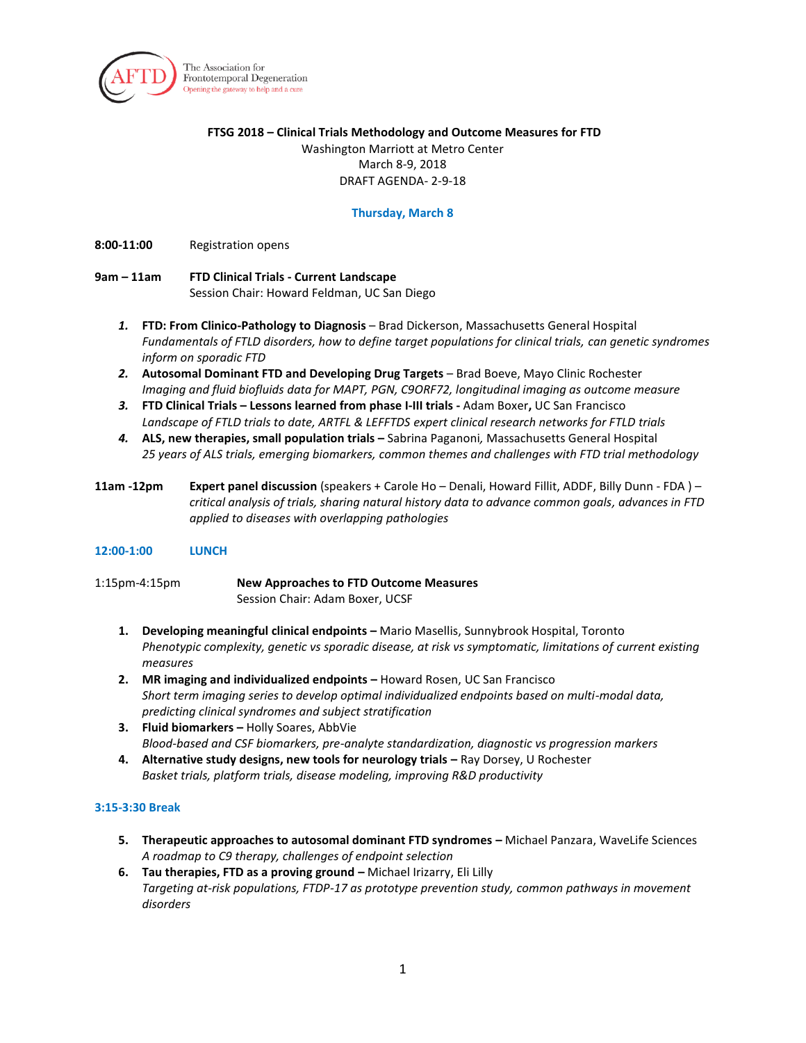

The Association for Frontotemporal Degeneration Opening the gateway to help and a cure

#### **FTSG 2018 – Clinical Trials Methodology and Outcome Measures for FTD**

Washington Marriott at Metro Center March 8-9, 2018 DRAFT AGENDA- 2-9-18

## **Thursday, March 8**

**8:00-11:00** Registration opens

# **9am – 11am FTD Clinical Trials - Current Landscape**  Session Chair: Howard Feldman, UC San Diego

- *1.* **FTD: From Clinico-Pathology to Diagnosis**  Brad Dickerson, Massachusetts General Hospital *Fundamentals of FTLD disorders, how to define target populations for clinical trials, can genetic syndromes inform on sporadic FTD*
- *2.* **Autosomal Dominant FTD and Developing Drug Targets** Brad Boeve, Mayo Clinic Rochester *Imaging and fluid biofluids data for MAPT, PGN, C9ORF72, longitudinal imaging as outcome measure*
- *3.* **FTD Clinical Trials – Lessons learned from phase I-III trials** Adam Boxer**,** UC San Francisco *Landscape of FTLD trials to date, ARTFL & LEFFTDS expert clinical research networks for FTLD trials*
- *4.* **ALS, new therapies, small population trials –** Sabrina Paganoni*,* Massachusetts General Hospital *25 years of ALS trials, emerging biomarkers, common themes and challenges with FTD trial methodology*
- **11am -12pm Expert panel discussion** (speakers + Carole Ho Denali, Howard Fillit, ADDF, Billy Dunn FDA ) *critical analysis of trials, sharing natural history data to advance common goals, advances in FTD applied to diseases with overlapping pathologies*

## **12:00-1:00 LUNCH**

1:15pm-4:15pm **New Approaches to FTD Outcome Measures**  Session Chair: Adam Boxer, UCSF

- 1. **Developing meaningful clinical endpoints -** Mario Masellis, Sunnybrook Hospital, Toronto *Phenotypic complexity, genetic vs sporadic disease, at risk vs symptomatic, limitations of current existing measures*
- **2. MR imaging and individualized endpoints –** Howard Rosen, UC San Francisco *Short term imaging series to develop optimal individualized endpoints based on multi-modal data, predicting clinical syndromes and subject stratification*
- **3. Fluid biomarkers –** Holly Soares, AbbVie *Blood-based and CSF biomarkers, pre-analyte standardization, diagnostic vs progression markers*
- **4. Alternative study designs, new tools for neurology trials –** Ray Dorsey, U Rochester *Basket trials, platform trials, disease modeling, improving R&D productivity*

## **3:15-3:30 Break**

- **5. Therapeutic approaches to autosomal dominant FTD syndromes –** Michael Panzara, WaveLife Sciences *A roadmap to C9 therapy, challenges of endpoint selection*
- **6. Tau therapies, FTD as a proving ground –** Michael Irizarry, Eli Lilly *Targeting at-risk populations, FTDP-17 as prototype prevention study, common pathways in movement disorders*